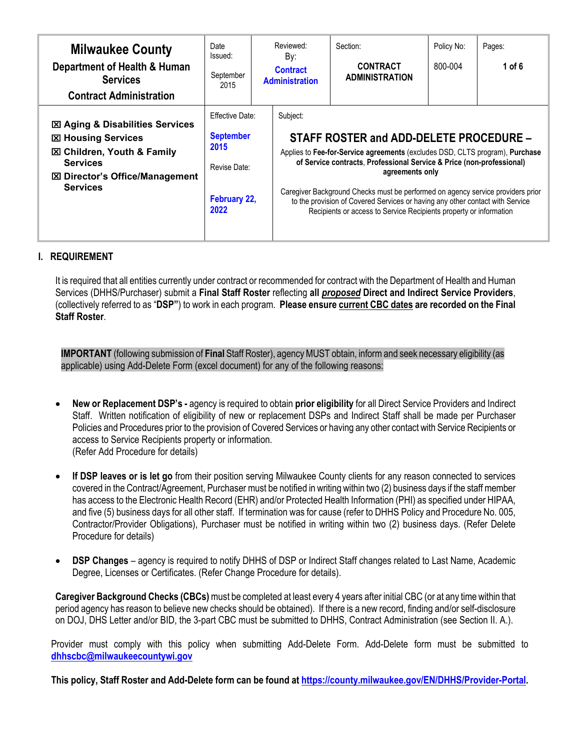| <b>Milwaukee County</b><br>Department of Health & Human<br><b>Services</b><br><b>Contract Administration</b>                                                                                    | Date<br>Issued:<br>September<br>2015                                                | Reviewed:<br>By:<br><b>Contract</b><br><b>Administration</b> | Section:<br><b>CONTRACT</b><br><b>ADMINISTRATION</b>                                                                                                                                                                                                                                                                                                                                                                                                          | Policy No:<br>800-004 | Pages:<br>1 of 6 |
|-------------------------------------------------------------------------------------------------------------------------------------------------------------------------------------------------|-------------------------------------------------------------------------------------|--------------------------------------------------------------|---------------------------------------------------------------------------------------------------------------------------------------------------------------------------------------------------------------------------------------------------------------------------------------------------------------------------------------------------------------------------------------------------------------------------------------------------------------|-----------------------|------------------|
| <b>図 Aging &amp; Disabilities Services</b><br><b>図 Housing Services</b><br><b>図 Children, Youth &amp; Family</b><br><b>Services</b><br><b>⊠ Director's Office/Management</b><br><b>Services</b> | Effective Date:<br><b>September</b><br>2015<br>Revise Date:<br>February 22,<br>2022 | Subject:                                                     | STAFF ROSTER and ADD-DELETE PROCEDURE -<br>Applies to Fee-for-Service agreements (excludes DSD, CLTS program), Purchase<br>of Service contracts, Professional Service & Price (non-professional)<br>agreements only<br>Caregiver Background Checks must be performed on agency service providers prior<br>to the provision of Covered Services or having any other contact with Service<br>Recipients or access to Service Recipients property or information |                       |                  |

# **I. REQUIREMENT**

It is required that all entities currently under contract or recommended for contract with the Department of Health and Human Services (DHHS/Purchaser) submit a **Final Staff Roster** reflecting **all** *proposed* **Direct and Indirect Service Providers**, (collectively referred to as "**DSP"**) to work in each program. **Please ensure current CBC dates are recorded on the Final Staff Roster**.

**IMPORTANT** (following submission of **Final** Staff Roster), agency MUST obtain, inform and seek necessary eligibility (as applicable) using Add-Delete Form (excel document) for any of the following reasons:

- **New or Replacement DSP's -** agency is required to obtain **prior eligibility** for all Direct Service Providers and Indirect Staff. Written notification of eligibility of new or replacement DSPs and Indirect Staff shall be made per Purchaser Policies and Procedures prior to the provision of Covered Services or having any other contact with Service Recipients or access to Service Recipients property or information. (Refer Add Procedure for details)
- **If DSP leaves or is let go** from their position serving Milwaukee County clients for any reason connected to services covered in the Contract/Agreement, Purchaser must be notified in writing within two (2) business days if the staff member has access to the Electronic Health Record (EHR) and/or Protected Health Information (PHI) as specified under HIPAA, and five (5) business days for all other staff. If termination was for cause (refer to DHHS Policy and Procedure No. 005, Contractor/Provider Obligations), Purchaser must be notified in writing within two (2) business days. (Refer Delete Procedure for details)
- **DSP Changes** agency is required to notify DHHS of DSP or Indirect Staff changes related to Last Name, Academic Degree, Licenses or Certificates. (Refer Change Procedure for details).

**Caregiver Background Checks (CBCs)** must be completed at least every 4 years after initial CBC (or at any time within that period agency has reason to believe new checks should be obtained). If there is a new record, finding and/or self-disclosure on DOJ, DHS Letter and/or BID, the 3-part CBC must be submitted to DHHS, Contract Administration (see Section II. A.).

Provider must comply with this policy when submitting Add-Delete Form. Add-Delete form must be submitted to **[dhhscbc@milwaukeecountywi.gov](mailto:dhhscbc@milwaukeecountywi.gov)**

**This policy, Staff Roster and Add-Delete form can be found a[t https://county.milwaukee.gov/EN/DHHS/Provider-Portal.](https://county.milwaukee.gov/EN/DHHS/Provider-Portal)**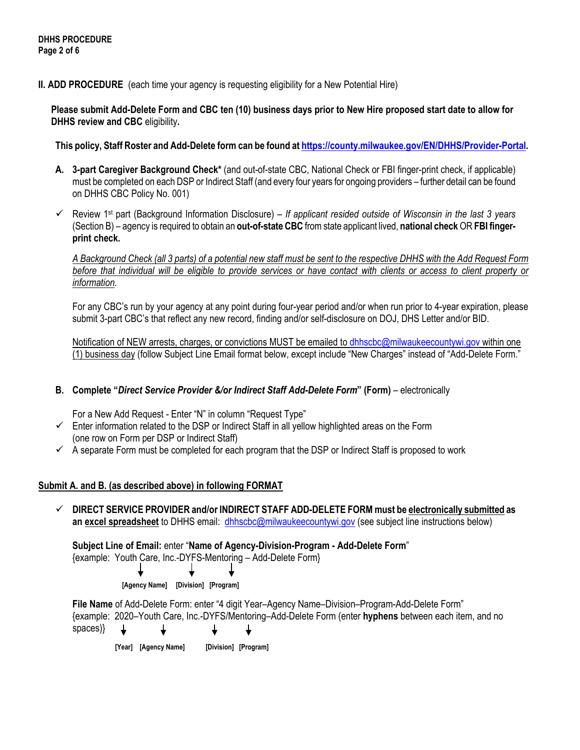**II. ADD PROCEDURE** (each time your agency is requesting eligibility for a New Potential Hire)

**Please submit Add-Delete Form and CBC ten (10) business days prior to New Hire proposed start date to allow for DHHS review and CBC** eligibility**.** 

**This policy, Staff Roster and Add-Delete form can be found a[t https://county.milwaukee.gov/EN/DHHS/Provider-Portal.](https://county.milwaukee.gov/EN/DHHS/Provider-Portal)**

- **A. 3-part Caregiver Background Check\*** (and out-of-state CBC, National Check or FBI finger-print check, if applicable) must be completed on each DSP or Indirect Staff (and every four years for ongoing providers – further detail can be found on DHHS CBC Policy No. 001)
- Review 1st part (Background Information Disclosure) *If applicant resided outside of Wisconsin in the last 3 years* (Section B) – agency is required to obtain an **out-of-state CBC** from state applicant lived, **national check** OR **FBI fingerprint check.**

*A Background Check (all 3 parts) of a potential new staff must be sent to the respective DHHS with the Add Request Form before that individual will be eligible to provide services or have contact with clients or access to client property or information.*

For any CBC's run by your agency at any point during four-year period and/or when run prior to 4-year expiration, please submit 3-part CBC's that reflect any new record, finding and/or self-disclosure on DOJ, DHS Letter and/or BID.

Notification of NEW arrests, charges, or convictions MUST be emailed to [dhhscbc@milwaukeecountywi.gov](mailto:dhhscbc@milwaukeecountywi.gov) within one (1) business day (follow Subject Line Email format below, except include "New Charges" instead of "Add-Delete Form."

# **B. Complete "***Direct Service Provider &/or Indirect Staff Add-Delete Form***" (Form)** – electronically

For a New Add Request - Enter "N" in column "Request Type"

- $\checkmark$  Enter information related to the DSP or Indirect Staff in all yellow highlighted areas on the Form (one row on Form per DSP or Indirect Staff)
- $\checkmark$  A separate Form must be completed for each program that the DSP or Indirect Staff is proposed to work

## **Submit A. and B. (as described above) in following FORMAT**

 **DIRECT SERVICE PROVIDER and/or INDIRECT STAFF ADD-DELETE FORM must be electronically submitted as an excel spreadsheet** to DHHS email: [dhhscbc@milwaukeecountywi.gov](mailto:dhhscbc@milwaukeecountywi.gov) (see subject line instructions below)

**Subject Line of Email:** enter "**Name of Agency-Division-Program - Add-Delete Form**"

{example: Youth Care, Inc.-DYFS-Mentoring – Add-Delete Form}

 **[Agency Name] [Division] [Program]**

**File Name** of Add-Delete Form: enter "4 digit Year–Agency Name–Division–Program-Add-Delete Form" {example: 2020–Youth Care, Inc.-DYFS/Mentoring–Add-Delete Form (enter **hyphens** between each item, and no spaces)} ↓

 **[Year] [Agency Name] [Division] [Program]**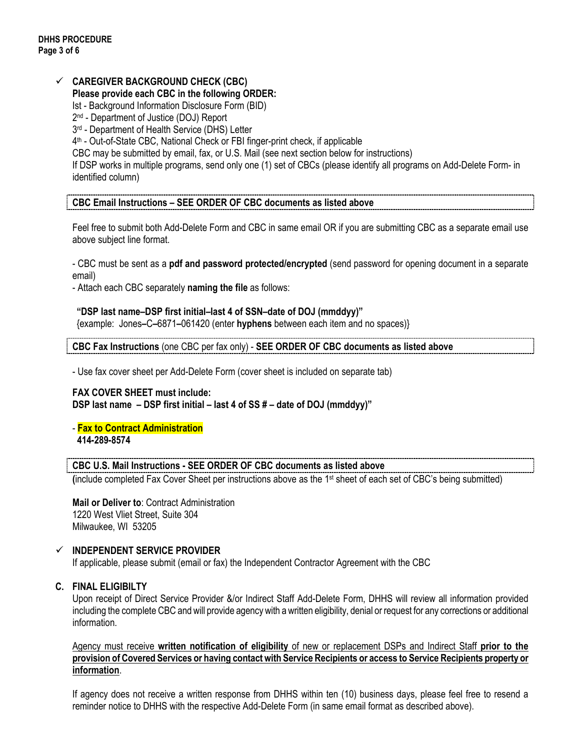#### **CAREGIVER BACKGROUND CHECK (CBC) Please provide each CBC in the following ORDER:**

Ist - Background Information Disclosure Form (BID)

2nd - Department of Justice (DOJ) Report

3<sup>rd</sup> - Department of Health Service (DHS) Letter

4th - Out-of-State CBC, National Check or FBI finger-print check, if applicable

CBC may be submitted by email, fax, or U.S. Mail (see next section below for instructions)

If DSP works in multiple programs, send only one (1) set of CBCs (please identify all programs on Add-Delete Form- in identified column)

**CBC Email Instructions – SEE ORDER OF CBC documents as listed above**

Feel free to submit both Add-Delete Form and CBC in same email OR if you are submitting CBC as a separate email use above subject line format.

- CBC must be sent as a **pdf and password protected/encrypted** (send password for opening document in a separate email)

- Attach each CBC separately **naming the file** as follows:

**"DSP last name–DSP first initial–last 4 of SSN–date of DOJ (mmddyy)"**

{example: Jones**–**C**–**6871**–**061420 (enter **hyphens** between each item and no spaces)}

**CBC Fax Instructions** (one CBC per fax only) - **SEE ORDER OF CBC documents as listed above**

- Use fax cover sheet per Add-Delete Form (cover sheet is included on separate tab)

**FAX COVER SHEET must include: DSP last name – DSP first initial – last 4 of SS # – date of DOJ (mmddyy)"**

- **Fax to Contract Administration 414-289-8574**

## **CBC U.S. Mail Instructions - SEE ORDER OF CBC documents as listed above**

**(**include completed Fax Cover Sheet per instructions above as the 1st sheet of each set of CBC's being submitted)

**Mail or Deliver to**: Contract Administration 1220 West Vliet Street, Suite 304 Milwaukee, WI 53205

## **INDEPENDENT SERVICE PROVIDER**

If applicable, please submit (email or fax) the Independent Contractor Agreement with the CBC

## **C. FINAL ELIGIBILTY**

Upon receipt of Direct Service Provider &/or Indirect Staff Add-Delete Form, DHHS will review all information provided including the complete CBC and will provide agency with a written eligibility, denial or request for any corrections or additional information.

Agency must receive **written notification of eligibility** of new or replacement DSPs and Indirect Staff **prior to the provision of Covered Services or having contact with Service Recipients or access to Service Recipients property or information**.

If agency does not receive a written response from DHHS within ten (10) business days, please feel free to resend a reminder notice to DHHS with the respective Add-Delete Form (in same email format as described above).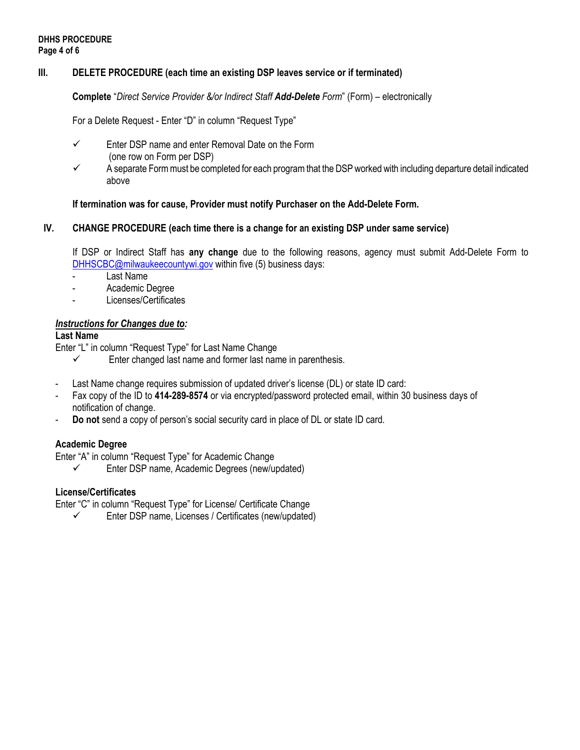## **III. DELETE PROCEDURE (each time an existing DSP leaves service or if terminated)**

**Complete** "*Direct Service Provider &/or Indirect Staff Add-Delete Form*" (Form) – electronically

For a Delete Request - Enter "D" in column "Request Type"

- $\checkmark$  Enter DSP name and enter Removal Date on the Form (one row on Form per DSP)
- $\checkmark$  A separate Form must be completed for each program that the DSP worked with including departure detail indicated above

## **If termination was for cause, Provider must notify Purchaser on the Add-Delete Form.**

#### **IV. CHANGE PROCEDURE (each time there is a change for an existing DSP under same service)**

If DSP or Indirect Staff has **any change** due to the following reasons, agency must submit Add-Delete Form to [DHHSCBC@milwaukeecountywi.gov](mailto:DHHSCBC@milwaukeecountywi.gov) within five (5) business days:

- Last Name
- Academic Degree
- Licenses/Certificates

#### *Instructions for Changes due to:*

#### **Last Name**

Enter "L" in column "Request Type" for Last Name Change

- $\checkmark$  Enter changed last name and former last name in parenthesis.
- Last Name change requires submission of updated driver's license (DL) or state ID card:
- Fax copy of the ID to **414-289-8574** or via encrypted/password protected email, within 30 business days of notification of change.
- **Do not** send a copy of person's social security card in place of DL or state ID card.

## **Academic Degree**

Enter "A" in column "Request Type" for Academic Change

Enter DSP name, Academic Degrees (new/updated)

## **License/Certificates**

Enter "C" in column "Request Type" for License/ Certificate Change

 $\checkmark$  Enter DSP name, Licenses / Certificates (new/updated)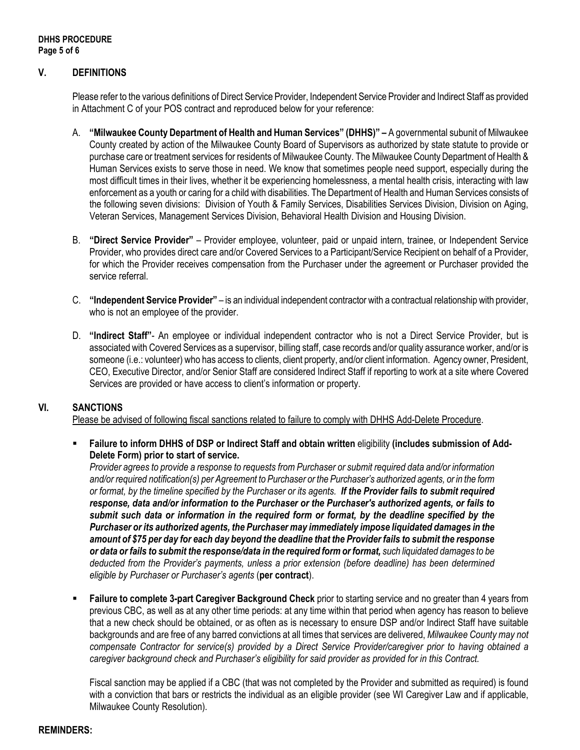# **V. DEFINITIONS**

Please refer to the various definitions of Direct Service Provider, Independent Service Provider and Indirect Staff as provided in Attachment C of your POS contract and reproduced below for your reference:

- A. **"Milwaukee County Department of Health and Human Services" (DHHS)" –** A governmental subunit of Milwaukee County created by action of the Milwaukee County Board of Supervisors as authorized by state statute to provide or purchase care or treatment services for residents of Milwaukee County. The Milwaukee County Department of Health & Human Services exists to serve those in need. We know that sometimes people need support, especially during the most difficult times in their lives, whether it be experiencing homelessness, a mental health crisis, interacting with law enforcement as a youth or caring for a child with disabilities. The Department of Health and Human Services consists of the following seven divisions: Division of Youth & Family Services, Disabilities Services Division, Division on Aging, Veteran Services, Management Services Division, Behavioral Health Division and Housing Division.
- B. **"Direct Service Provider"** Provider employee, volunteer, paid or unpaid intern, trainee, or Independent Service Provider, who provides direct care and/or Covered Services to a Participant/Service Recipient on behalf of a Provider, for which the Provider receives compensation from the Purchaser under the agreement or Purchaser provided the service referral.
- C. **"Independent Service Provider"** is an individual independent contractor with a contractual relationship with provider, who is not an employee of the provider.
- D. **"Indirect Staff"** An employee or individual independent contractor who is not a Direct Service Provider, but is associated with Covered Services as a supervisor, billing staff, case records and/or quality assurance worker, and/or is someone (i.e.: volunteer) who has access to clients, client property, and/or client information. Agency owner, President, CEO, Executive Director, and/or Senior Staff are considered Indirect Staff if reporting to work at a site where Covered Services are provided or have access to client's information or property.

## **VI. SANCTIONS**

Please be advised of following fiscal sanctions related to failure to comply with DHHS Add-Delete Procedure.

 **Failure to inform DHHS of DSP or Indirect Staff and obtain written** eligibility **(includes submission of Add-Delete Form) prior to start of service.**

*Provider agrees to provide a response to requests from Purchaser or submit required data and/or information and/or required notification(s) per Agreement to Purchaser or the Purchaser's authorized agents, or in the form or format, by the timeline specified by the Purchaser or its agents. If the Provider fails to submit required response, data and/or information to the Purchaser or the Purchaser's authorized agents, or fails to submit such data or information in the required form or format, by the deadline specified by the Purchaser or its authorized agents, the Purchaser may immediately impose liquidated damages in the amount of \$75 per day for each day beyond the deadline that the Provider fails to submit the response or data or fails to submit the response/data in the required form or format, such liquidated damages to be deducted from the Provider's payments, unless a prior extension (before deadline) has been determined eligible by Purchaser or Purchaser's agents* (**per contract**).

 **Failure to complete 3-part Caregiver Background Check** prior to starting service and no greater than 4 years from previous CBC, as well as at any other time periods: at any time within that period when agency has reason to believe that a new check should be obtained, or as often as is necessary to ensure DSP and/or Indirect Staff have suitable backgrounds and are free of any barred convictions at all times that services are delivered, *Milwaukee County may not compensate Contractor for service(s) provided by a Direct Service Provider/caregiver prior to having obtained a caregiver background check and Purchaser's eligibility for said provider as provided for in this Contract.* 

Fiscal sanction may be applied if a CBC (that was not completed by the Provider and submitted as required) is found with a conviction that bars or restricts the individual as an eligible provider (see WI Caregiver Law and if applicable, Milwaukee County Resolution).

## **REMINDERS:**